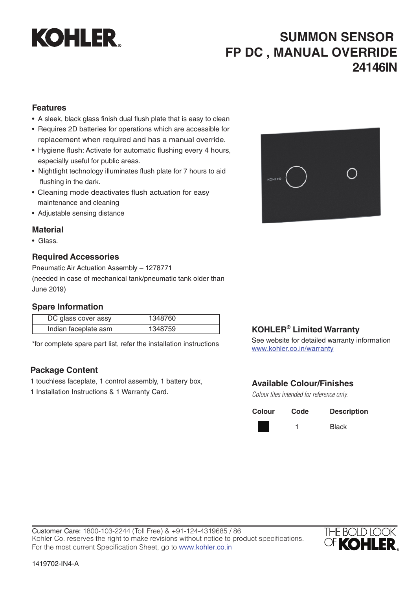

# **SUMMON SENSOR FP DC , MANUAL OVERRIDE 24146IN**

## **Features**

- A sleek, black glass finish dual flush plate that is easy to clean
- Requires 2D batteries for operations which are accessible for replacement when required and has a manual override.
- Hygiene flush: Activate for automatic flushing every 4 hours, especially useful for public areas.
- Nightlight technology illuminates flush plate for 7 hours to aid flushing in the dark.
- Cleaning mode deactivates flush actuation for easy maintenance and cleaning
- Adjustable sensing distance

## **Material**

• Glass.

## **Required Accessories**

Pneumatic Air Actuation Assembly – 1278771 (needed in case of mechanical tank/pneumatic tank older than June 2019)

## **Spare Information**

| DC glass cover assy  | 1348760 |
|----------------------|---------|
| Indian faceplate asm | 1348759 |

\*for complete spare part list, refer the installation instructions

## **Package Content**

- 1 touchless faceplate, 1 control assembly, 1 battery box,
- 1 Installation Instructions & 1 Warranty Card.



## **KOHLER® Limited Warranty**

See website for detailed warranty information www.kohler.co.in/warranty

## **Available Colour/Finishes**

*Colour tiles intended for reference only.*

| Colour | Code | <b>Description</b> |
|--------|------|--------------------|
|        |      | <b>Black</b>       |